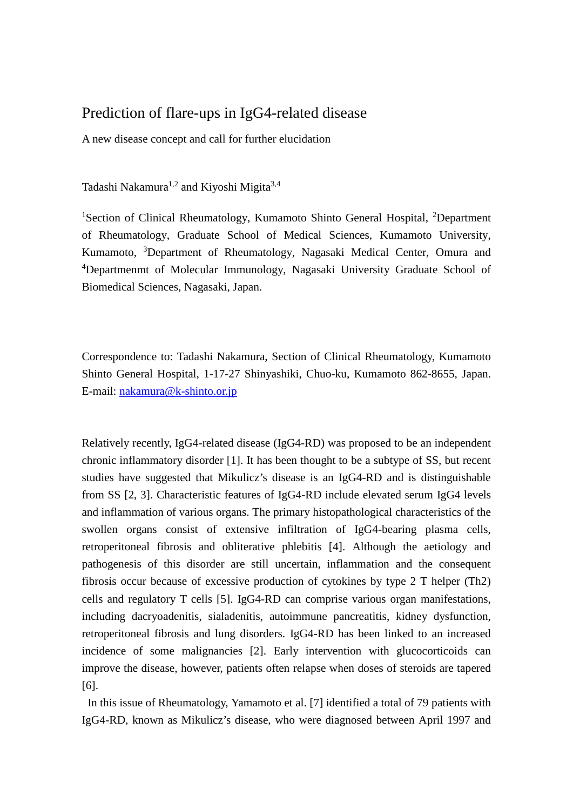## Prediction of flare-ups in IgG4-related disease

A new disease concept and call for further elucidation

Tadashi Nakamura<sup>1,2</sup> and Kiyoshi Migita<sup>3,4</sup>

<sup>1</sup>Section of Clinical Rheumatology, Kumamoto Shinto General Hospital, <sup>2</sup>Department of Rheumatology, Graduate School of Medical Sciences, Kumamoto University, Kumamoto, <sup>3</sup>Department of Rheumatology, Nagasaki Medical Center, Omura and 4 Departmenmt of Molecular Immunology, Nagasaki University Graduate School of Biomedical Sciences, Nagasaki, Japan.

Correspondence to: Tadashi Nakamura, Section of Clinical Rheumatology, Kumamoto Shinto General Hospital, 1-17-27 Shinyashiki, Chuo-ku, Kumamoto 862-8655, Japan. E-mail: [nakamura@k-shinto.or.jp](mailto:nakamura@k-shinto.or.jp)

Relatively recently, IgG4-related disease (IgG4-RD) was proposed to be an independent chronic inflammatory disorder [1]. It has been thought to be a subtype of SS, but recent studies have suggested that Mikulicz's disease is an IgG4-RD and is distinguishable from SS [2, 3]. Characteristic features of IgG4-RD include elevated serum IgG4 levels and inflammation of various organs. The primary histopathological characteristics of the swollen organs consist of extensive infiltration of IgG4-bearing plasma cells, retroperitoneal fibrosis and obliterative phlebitis [4]. Although the aetiology and pathogenesis of this disorder are still uncertain, inflammation and the consequent fibrosis occur because of excessive production of cytokines by type 2 T helper (Th2) cells and regulatory T cells [5]. IgG4-RD can comprise various organ manifestations, including dacryoadenitis, sialadenitis, autoimmune pancreatitis, kidney dysfunction, retroperitoneal fibrosis and lung disorders. IgG4-RD has been linked to an increased incidence of some malignancies [2]. Early intervention with glucocorticoids can improve the disease, however, patients often relapse when doses of steroids are tapered [6].

In this issue of Rheumatology, Yamamoto et al. [7] identified a total of 79 patients with IgG4-RD, known as Mikulicz's disease, who were diagnosed between April 1997 and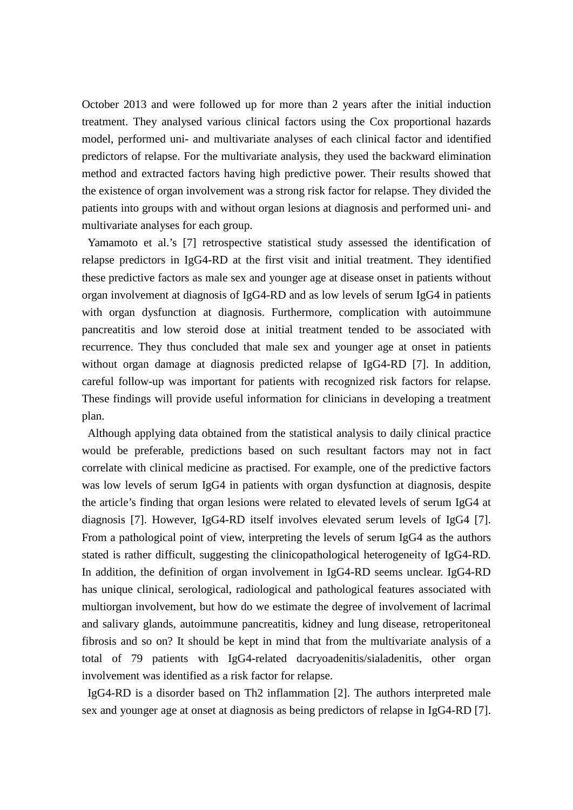October 2013 and were followed up for more than 2 years after the initial induction treatment. They analysed various clinical factors using the Cox proportional hazards model, performed uni- and multivariate analyses of each clinical factor and identified predictors of relapse. For the multivariate analysis, they used the backward elimination method and extracted factors having high predictive power. Their results showed that the existence of organ involvement was a strong risk factor for relapse. They divided the patients into groups with and without organ lesions at diagnosis and performed uni- and multivariate analyses for each group.

Yamamoto et al.'s [7] retrospective statistical study assessed the identification of relapse predictors in IgG4-RD at the first visit and initial treatment. They identified these predictive factors as male sex and younger age at disease onset in patients without organ involvement at diagnosis of IgG4-RD and as low levels of serum IgG4 in patients with organ dysfunction at diagnosis. Furthermore, complication with autoimmune pancreatitis and low steroid dose at initial treatment tended to be associated with recurrence. They thus concluded that male sex and younger age at onset in patients without organ damage at diagnosis predicted relapse of IgG4-RD [7]. In addition, careful follow-up was important for patients with recognized risk factors for relapse. These findings will provide useful information for clinicians in developing a treatment plan.

Although applying data obtained from the statistical analysis to daily clinical practice would be preferable, predictions based on such resultant factors may not in fact correlate with clinical medicine as practised. For example, one of the predictive factors was low levels of serum IgG4 in patients with organ dysfunction at diagnosis, despite the article's finding that organ lesions were related to elevated levels of serum IgG4 at diagnosis [7]. However, IgG4-RD itself involves elevated serum levels of IgG4 [7]. From a pathological point of view, interpreting the levels of serum IgG4 as the authors stated is rather difficult, suggesting the clinicopathological heterogeneity of IgG4-RD. In addition, the definition of organ involvement in IgG4-RD seems unclear. IgG4-RD has unique clinical, serological, radiological and pathological features associated with multiorgan involvement, but how do we estimate the degree of involvement of lacrimal and salivary glands, autoimmune pancreatitis, kidney and lung disease, retroperitoneal fibrosis and so on? It should be kept in mind that from the multivariate analysis of a total of 79 patients with IgG4-related dacryoadenitis/sialadenitis, other organ involvement was identified as a risk factor for relapse.

IgG4-RD is a disorder based on Th2 inflammation [2]. The authors interpreted male sex and younger age at onset at diagnosis as being predictors of relapse in IgG4-RD [7].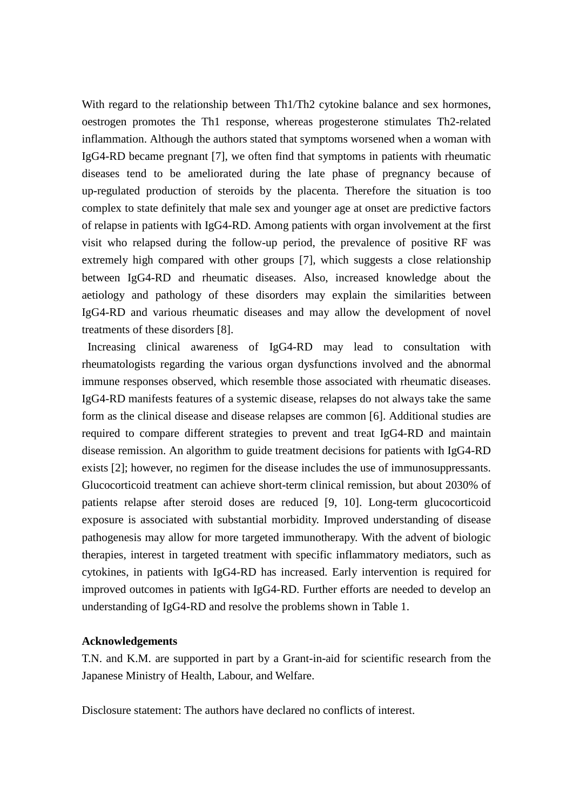With regard to the relationship between Th1/Th2 cytokine balance and sex hormones, oestrogen promotes the Th1 response, whereas progesterone stimulates Th2-related inflammation. Although the authors stated that symptoms worsened when a woman with IgG4-RD became pregnant [7], we often find that symptoms in patients with rheumatic diseases tend to be ameliorated during the late phase of pregnancy because of up-regulated production of steroids by the placenta. Therefore the situation is too complex to state definitely that male sex and younger age at onset are predictive factors of relapse in patients with IgG4-RD. Among patients with organ involvement at the first visit who relapsed during the follow-up period, the prevalence of positive RF was extremely high compared with other groups [7], which suggests a close relationship between IgG4-RD and rheumatic diseases. Also, increased knowledge about the aetiology and pathology of these disorders may explain the similarities between IgG4-RD and various rheumatic diseases and may allow the development of novel treatments of these disorders [8].

Increasing clinical awareness of IgG4-RD may lead to consultation with rheumatologists regarding the various organ dysfunctions involved and the abnormal immune responses observed, which resemble those associated with rheumatic diseases. IgG4-RD manifests features of a systemic disease, relapses do not always take the same form as the clinical disease and disease relapses are common [6]. Additional studies are required to compare different strategies to prevent and treat IgG4-RD and maintain disease remission. An algorithm to guide treatment decisions for patients with IgG4-RD exists [2]; however, no regimen for the disease includes the use of immunosuppressants. Glucocorticoid treatment can achieve short-term clinical remission, but about 2030% of patients relapse after steroid doses are reduced [9, 10]. Long-term glucocorticoid exposure is associated with substantial morbidity. Improved understanding of disease pathogenesis may allow for more targeted immunotherapy. With the advent of biologic therapies, interest in targeted treatment with specific inflammatory mediators, such as cytokines, in patients with IgG4-RD has increased. Early intervention is required for improved outcomes in patients with IgG4-RD. Further efforts are needed to develop an understanding of IgG4-RD and resolve the problems shown in Table 1.

## **Acknowledgements**

T.N. and K.M. are supported in part by a Grant-in-aid for scientific research from the Japanese Ministry of Health, Labour, and Welfare.

Disclosure statement: The authors have declared no conflicts of interest.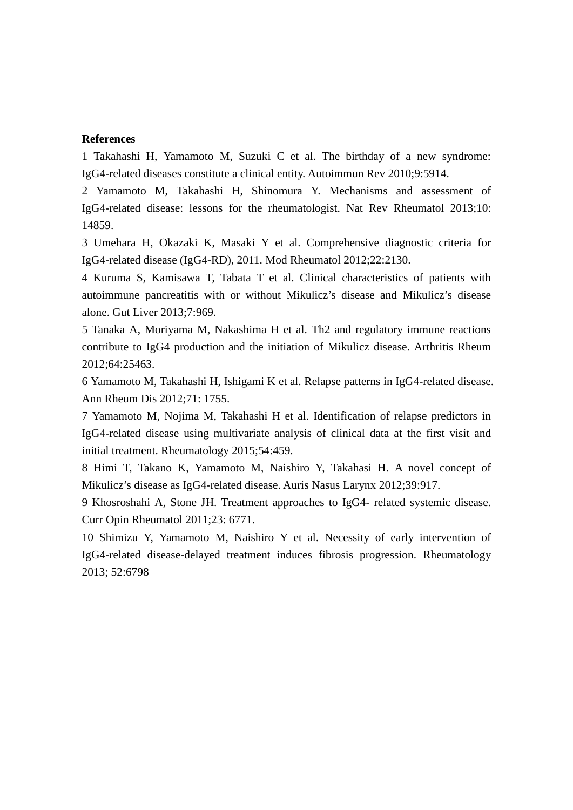## **References**

1 Takahashi H, Yamamoto M, Suzuki C et al. The birthday of a new syndrome: IgG4-related diseases constitute a clinical entity. Autoimmun Rev 2010;9:5914.

2 Yamamoto M, Takahashi H, Shinomura Y. Mechanisms and assessment of IgG4-related disease: lessons for the rheumatologist. Nat Rev Rheumatol 2013;10: 14859.

3 Umehara H, Okazaki K, Masaki Y et al. Comprehensive diagnostic criteria for IgG4-related disease (IgG4-RD), 2011. Mod Rheumatol 2012;22:2130.

4 Kuruma S, Kamisawa T, Tabata T et al. Clinical characteristics of patients with autoimmune pancreatitis with or without Mikulicz's disease and Mikulicz's disease alone. Gut Liver 2013;7:969.

5 Tanaka A, Moriyama M, Nakashima H et al. Th2 and regulatory immune reactions contribute to IgG4 production and the initiation of Mikulicz disease. Arthritis Rheum 2012;64:25463.

6 Yamamoto M, Takahashi H, Ishigami K et al. Relapse patterns in IgG4-related disease. Ann Rheum Dis 2012;71: 1755.

7 Yamamoto M, Nojima M, Takahashi H et al. Identification of relapse predictors in IgG4-related disease using multivariate analysis of clinical data at the first visit and initial treatment. Rheumatology 2015;54:459.

8 Himi T, Takano K, Yamamoto M, Naishiro Y, Takahasi H. A novel concept of Mikulicz's disease as IgG4-related disease. Auris Nasus Larynx 2012;39:917.

9 Khosroshahi A, Stone JH. Treatment approaches to IgG4- related systemic disease. Curr Opin Rheumatol 2011;23: 6771.

10 Shimizu Y, Yamamoto M, Naishiro Y et al. Necessity of early intervention of IgG4-related disease-delayed treatment induces fibrosis progression. Rheumatology 2013; 52:6798